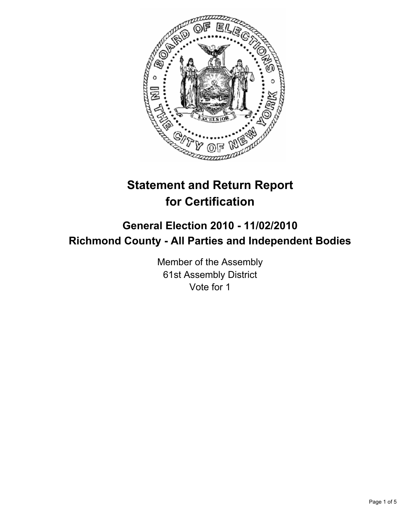

# **Statement and Return Report for Certification**

# **General Election 2010 - 11/02/2010 Richmond County - All Parties and Independent Bodies**

Member of the Assembly 61st Assembly District Vote for 1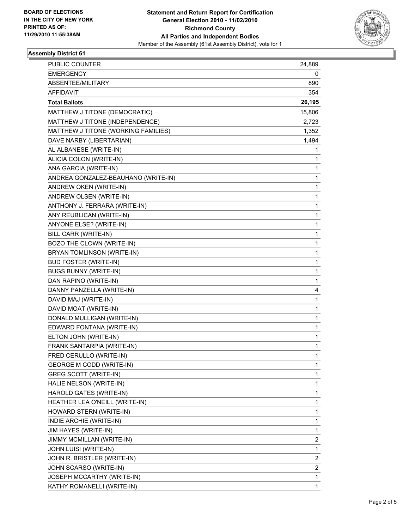

## **Assembly District 61**

| PUBLIC COUNTER                      | 24,889 |
|-------------------------------------|--------|
| <b>EMERGENCY</b>                    | 0      |
| ABSENTEE/MILITARY                   | 890    |
| <b>AFFIDAVIT</b>                    | 354    |
| <b>Total Ballots</b>                | 26,195 |
| MATTHEW J TITONE (DEMOCRATIC)       | 15,806 |
| MATTHEW J TITONE (INDEPENDENCE)     | 2,723  |
| MATTHEW J TITONE (WORKING FAMILIES) | 1,352  |
| DAVE NARBY (LIBERTARIAN)            | 1,494  |
| AL ALBANESE (WRITE-IN)              | 1      |
| ALICIA COLON (WRITE-IN)             | 1      |
| ANA GARCIA (WRITE-IN)               | 1      |
| ANDREA GONZALEZ-BEAUHANO (WRITE-IN) | 1      |
| ANDREW OKEN (WRITE-IN)              | 1      |
| ANDREW OLSEN (WRITE-IN)             | 1      |
| ANTHONY J. FERRARA (WRITE-IN)       | 1      |
| ANY REUBLICAN (WRITE-IN)            | 1      |
| ANYONE ELSE? (WRITE-IN)             | 1      |
| BILL CARR (WRITE-IN)                | 1      |
| BOZO THE CLOWN (WRITE-IN)           | 1      |
| BRYAN TOMLINSON (WRITE-IN)          | 1      |
| <b>BUD FOSTER (WRITE-IN)</b>        | 1      |
| <b>BUGS BUNNY (WRITE-IN)</b>        | 1      |
| DAN RAPINO (WRITE-IN)               | 1      |
| DANNY PANZELLA (WRITE-IN)           | 4      |
| DAVID MAJ (WRITE-IN)                | 1      |
| DAVID MOAT (WRITE-IN)               | 1      |
| DONALD MULLIGAN (WRITE-IN)          | 1      |
| EDWARD FONTANA (WRITE-IN)           | 1      |
| ELTON JOHN (WRITE-IN)               | 1      |
| FRANK SANTARPIA (WRITE-IN)          | 1      |
| FRED CERULLO (WRITE-IN)             | 1      |
| <b>GEORGE M CODD (WRITE-IN)</b>     | 1      |
| <b>GREG SCOTT (WRITE-IN)</b>        | 1      |
| HALIE NELSON (WRITE-IN)             | 1      |
| HAROLD GATES (WRITE-IN)             | 1      |
| HEATHER LEA O'NEILL (WRITE-IN)      | 1      |
| HOWARD STERN (WRITE-IN)             | 1      |
| INDIE ARCHIE (WRITE-IN)             | 1      |
| JIM HAYES (WRITE-IN)                | 1      |
| JIMMY MCMILLAN (WRITE-IN)           | 2      |
| JOHN LUISI (WRITE-IN)               | 1      |
| JOHN R. BRISTLER (WRITE-IN)         | 2      |
| JOHN SCARSO (WRITE-IN)              | 2      |
| JOSEPH MCCARTHY (WRITE-IN)          | 1      |
| KATHY ROMANELLI (WRITE-IN)          | 1      |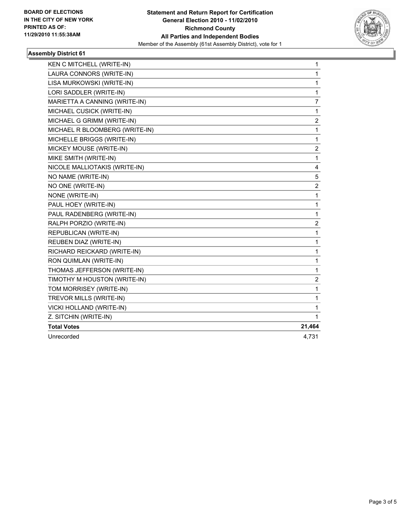

## **Assembly District 61**

| KEN C MITCHELL (WRITE-IN)      | $\mathbf{1}$     |
|--------------------------------|------------------|
| LAURA CONNORS (WRITE-IN)       | $\mathbf{1}$     |
| LISA MURKOWSKI (WRITE-IN)      | 1                |
| LORI SADDLER (WRITE-IN)        | 1                |
| MARIETTA A CANNING (WRITE-IN)  | 7                |
| MICHAEL CUSICK (WRITE-IN)      | 1                |
| MICHAEL G GRIMM (WRITE-IN)     | $\overline{c}$   |
| MICHAEL R BLOOMBERG (WRITE-IN) | 1                |
| MICHELLE BRIGGS (WRITE-IN)     | $\mathbf{1}$     |
| MICKEY MOUSE (WRITE-IN)        | 2                |
| MIKE SMITH (WRITE-IN)          | $\mathbf{1}$     |
| NICOLE MALLIOTAKIS (WRITE-IN)  | 4                |
| NO NAME (WRITE-IN)             | 5                |
| NO ONE (WRITE-IN)              | $\overline{2}$   |
| NONE (WRITE-IN)                | 1                |
| PAUL HOEY (WRITE-IN)           | 1                |
| PAUL RADENBERG (WRITE-IN)      | $\mathbf{1}$     |
| RALPH PORZIO (WRITE-IN)        | $\boldsymbol{2}$ |
| REPUBLICAN (WRITE-IN)          | $\mathbf{1}$     |
| REUBEN DIAZ (WRITE-IN)         | 1                |
| RICHARD REICKARD (WRITE-IN)    | 1                |
| RON QUIMLAN (WRITE-IN)         | 1                |
| THOMAS JEFFERSON (WRITE-IN)    | 1                |
| TIMOTHY M HOUSTON (WRITE-IN)   | 2                |
| TOM MORRISEY (WRITE-IN)        | 1                |
| TREVOR MILLS (WRITE-IN)        | $\mathbf 1$      |
| VICKI HOLLAND (WRITE-IN)       | $\mathbf{1}$     |
| Z. SITCHIN (WRITE-IN)          | 1                |
| <b>Total Votes</b>             | 21,464           |
| Unrecorded                     | 4,731            |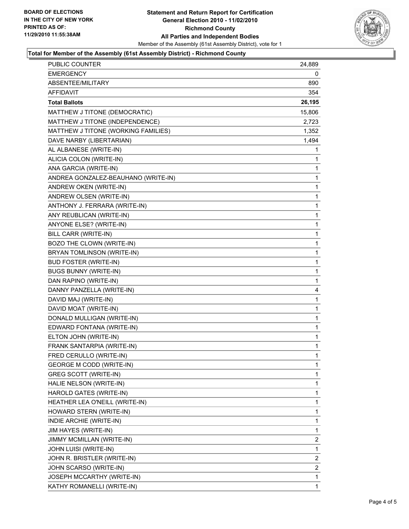

#### **Total for Member of the Assembly (61st Assembly District) - Richmond County**

| <b>PUBLIC COUNTER</b>               | 24,889       |
|-------------------------------------|--------------|
| <b>EMERGENCY</b>                    | 0            |
| ABSENTEE/MILITARY                   | 890          |
| AFFIDAVIT                           | 354          |
| <b>Total Ballots</b>                | 26,195       |
| MATTHEW J TITONE (DEMOCRATIC)       | 15,806       |
| MATTHEW J TITONE (INDEPENDENCE)     | 2,723        |
| MATTHEW J TITONE (WORKING FAMILIES) | 1,352        |
| DAVE NARBY (LIBERTARIAN)            | 1,494        |
| AL ALBANESE (WRITE-IN)              | 1            |
| ALICIA COLON (WRITE-IN)             | 1            |
| ANA GARCIA (WRITE-IN)               | 1            |
| ANDREA GONZALEZ-BEAUHANO (WRITE-IN) | 1            |
| ANDREW OKEN (WRITE-IN)              | 1            |
| ANDREW OLSEN (WRITE-IN)             | 1            |
| ANTHONY J. FERRARA (WRITE-IN)       | 1            |
| ANY REUBLICAN (WRITE-IN)            | 1            |
| ANYONE ELSE? (WRITE-IN)             | 1            |
| BILL CARR (WRITE-IN)                | 1            |
| BOZO THE CLOWN (WRITE-IN)           | 1            |
| BRYAN TOMLINSON (WRITE-IN)          | 1            |
| <b>BUD FOSTER (WRITE-IN)</b>        | 1            |
| <b>BUGS BUNNY (WRITE-IN)</b>        | 1            |
| DAN RAPINO (WRITE-IN)               | 1            |
| DANNY PANZELLA (WRITE-IN)           | 4            |
| DAVID MAJ (WRITE-IN)                | 1            |
| DAVID MOAT (WRITE-IN)               | 1            |
| DONALD MULLIGAN (WRITE-IN)          | 1            |
| EDWARD FONTANA (WRITE-IN)           | 1            |
| ELTON JOHN (WRITE-IN)               | $\mathbf{1}$ |
| FRANK SANTARPIA (WRITE-IN)          | 1            |
| FRED CERULLO (WRITE-IN)             | 1            |
| <b>GEORGE M CODD (WRITE-IN)</b>     | 1            |
| <b>GREG SCOTT (WRITE-IN)</b>        | 1            |
| HALIE NELSON (WRITE-IN)             | 1            |
| HAROLD GATES (WRITE-IN)             | 1            |
| HEATHER LEA O'NEILL (WRITE-IN)      | 1            |
| HOWARD STERN (WRITE-IN)             | 1            |
| INDIE ARCHIE (WRITE-IN)             | 1            |
| JIM HAYES (WRITE-IN)                | 1            |
| JIMMY MCMILLAN (WRITE-IN)           | 2            |
| JOHN LUISI (WRITE-IN)               | 1            |
| JOHN R. BRISTLER (WRITE-IN)         | 2            |
| JOHN SCARSO (WRITE-IN)              | 2            |
| JOSEPH MCCARTHY (WRITE-IN)          | 1            |
| KATHY ROMANELLI (WRITE-IN)          | 1            |